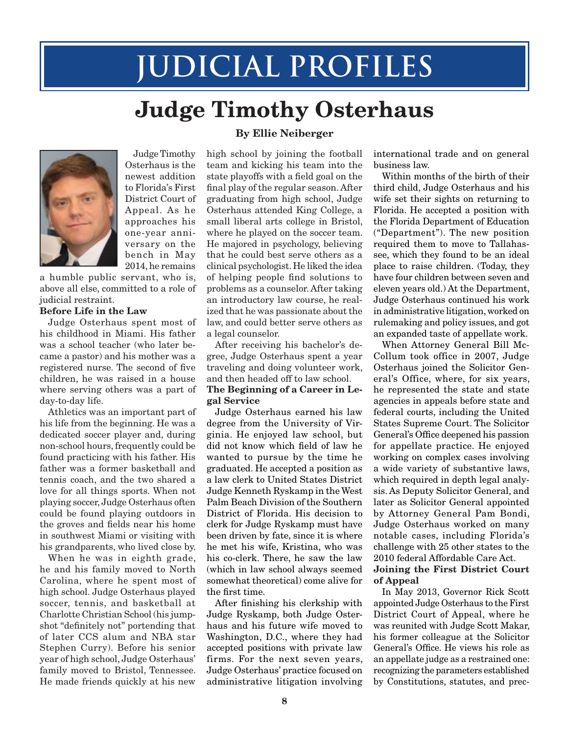# **Judicial Profiles**

## **Judge Timothy Osterhaus**



Judge Timothy Osterhaus is the newest addition to Florida's First District Court of Appeal. As he approaches his one-year anniversary on the bench in May 2014, he remains

a humble public servant, who is, above all else, committed to a role of judicial restraint.

#### **Before Life in the Law**

Judge Osterhaus spent most of his childhood in Miami. His father was a school teacher (who later became a pastor) and his mother was a registered nurse. The second of five children, he was raised in a house where serving others was a part of day-to-day life.

Athletics was an important part of his life from the beginning. He was a dedicated soccer player and, during non-school hours, frequently could be found practicing with his father. His father was a former basketball and tennis coach, and the two shared a love for all things sports. When not playing soccer, Judge Osterhaus often could be found playing outdoors in the groves and fields near his home in southwest Miami or visiting with his grandparents, who lived close by.

When he was in eighth grade, he and his family moved to North Carolina, where he spent most of high school. Judge Osterhaus played soccer, tennis, and basketball at Charlotte Christian School (his jumpshot "definitely not" portending that of later CCS alum and NBA star Stephen Curry). Before his senior year of high school, Judge Osterhaus' family moved to Bristol, Tennessee. He made friends quickly at his new

#### **By Ellie Neiberger**

high school by joining the football team and kicking his team into the state playoffs with a field goal on the final play of the regular season. After graduating from high school, Judge Osterhaus attended King College, a small liberal arts college in Bristol, where he played on the soccer team. He majored in psychology, believing that he could best serve others as a clinical psychologist. He liked the idea of helping people find solutions to problems as a counselor. After taking an introductory law course, he realized that he was passionate about the law, and could better serve others as a legal counselor.

After receiving his bachelor's degree, Judge Osterhaus spent a year traveling and doing volunteer work, and then headed off to law school.

#### **The Beginning of a Career in Legal Service**

Judge Osterhaus earned his law degree from the University of Virginia. He enjoyed law school, but did not know which field of law he wanted to pursue by the time he graduated. He accepted a position as a law clerk to United States District Judge Kenneth Ryskamp in the West Palm Beach Division of the Southern District of Florida. His decision to clerk for Judge Ryskamp must have been driven by fate, since it is where he met his wife, Kristina, who was his co-clerk. There, he saw the law (which in law school always seemed somewhat theoretical) come alive for the first time.

After finishing his clerkship with Judge Ryskamp, both Judge Osterhaus and his future wife moved to Washington, D.C., where they had accepted positions with private law firms. For the next seven years, Judge Osterhaus' practice focused on administrative litigation involving international trade and on general business law.

Within months of the birth of their third child, Judge Osterhaus and his wife set their sights on returning to Florida. He accepted a position with the Florida Department of Education ("Department"). The new position required them to move to Tallahassee, which they found to be an ideal place to raise children. (Today, they have four children between seven and eleven years old.) At the Department, Judge Osterhaus continued his work in administrative litigation, worked on rulemaking and policy issues, and got an expanded taste of appellate work.

When Attorney General Bill Mc-Collum took office in 2007, Judge Osterhaus joined the Solicitor General's Office, where, for six years, he represented the state and state agencies in appeals before state and federal courts, including the United States Supreme Court. The Solicitor General's Office deepened his passion for appellate practice. He enjoyed working on complex cases involving a wide variety of substantive laws, which required in depth legal analysis. As Deputy Solicitor General, and later as Solicitor General appointed by Attorney General Pam Bondi, Judge Osterhaus worked on many notable cases, including Florida's challenge with 25 other states to the 2010 federal Affordable Care Act.

#### **Joining the First District Court of Appeal**

In May 2013, Governor Rick Scott appointed Judge Osterhaus to the First District Court of Appeal, where he was reunited with Judge Scott Makar, his former colleague at the Solicitor General's Office. He views his role as an appellate judge as a restrained one: recognizing the parameters established by Constitutions, statutes, and prec-